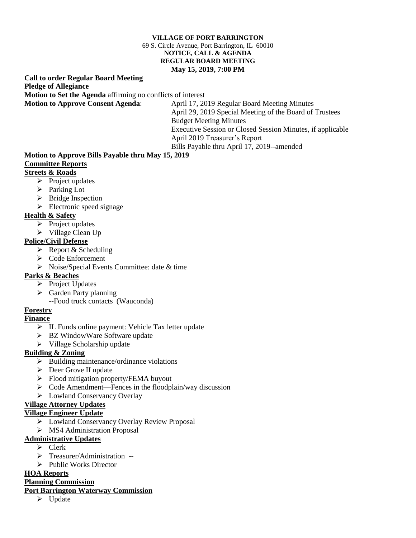#### **VILLAGE OF PORT BARRINGTON** 69 S. Circle Avenue, Port Barrington, IL 60010 **NOTICE, CALL & AGENDA REGULAR BOARD MEETING May 15, 2019, 7:00 PM**

#### **Call to order Regular Board Meeting Pledge of Allegiance Motion to Set the Agenda** affirming no conflicts of interest **Motion to Approve Consent Agenda**: April 17, 2019 Regular Board Meeting Minutes

April 29, 2019 Special Meeting of the Board of Trustees Budget Meeting Minutes Executive Session or Closed Session Minutes, if applicable April 2019 Treasurer's Report Bills Payable thru April 17, 2019--amended

#### **Motion to Approve Bills Payable thru May 15, 2019 Committee Reports**

# **Streets & Roads**

- - $\triangleright$  Project updates
	- ➢ Parking Lot
	- ➢ Bridge Inspection
	- $\triangleright$  Electronic speed signage

## **Health & Safety**

- ➢ Project updates
- ➢ Village Clean Up

## **Police/Civil Defense**

- $\triangleright$  Report & Scheduling
- ➢ Code Enforcement
- ➢ Noise/Special Events Committee: date & time

### **Parks & Beaches**

- ➢ Project Updates
- ➢ Garden Party planning
	- --Food truck contacts (Wauconda)

### **Forestry**

### **Finance**

- ➢ IL Funds online payment: Vehicle Tax letter update
- ➢ BZ WindowWare Software update
- ➢ Village Scholarship update

### **Building & Zoning**

- $\triangleright$  Building maintenance/ordinance violations
- ➢ Deer Grove II update
- ➢ Flood mitigation property/FEMA buyout
- ➢ Code Amendment—Fences in the floodplain/way discussion
- ➢ Lowland Conservancy Overlay

### **Village Attorney Updates**

### **Village Engineer Update**

- ➢ Lowland Conservancy Overlay Review Proposal
- ➢ MS4 Administration Proposal

## **Administrative Updates**

- ➢ Clerk
- ➢ Treasurer/Administration --
- ➢ Public Works Director

### **HOA Reports**

### **Planning Commission**

#### **Port Barrington Waterway Commission**

➢ Update